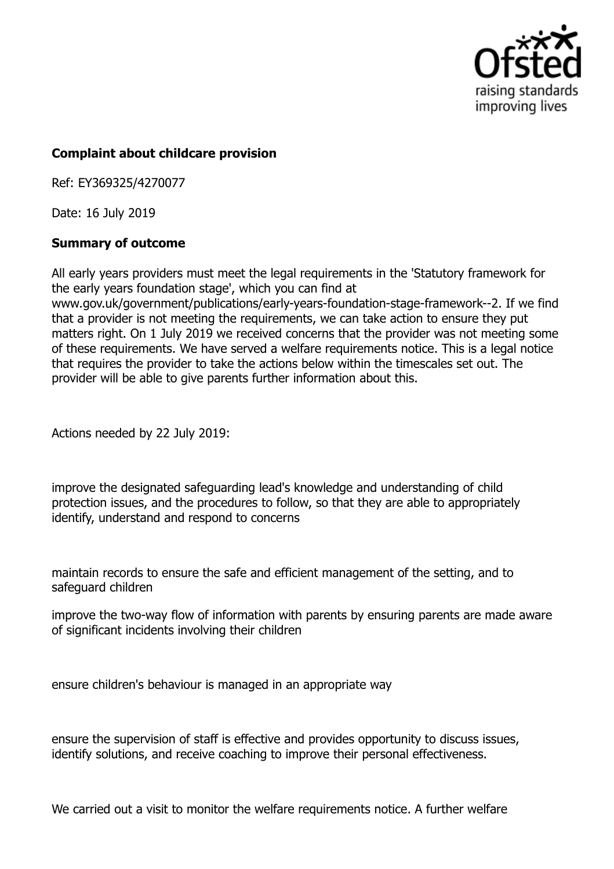

## **Complaint about childcare provision**

Ref: EY369325/4270077

Date: 16 July 2019

## **Summary of outcome**

All early years providers must meet the legal requirements in the 'Statutory framework for the early years foundation stage', which you can find at www.gov.uk/government/publications/early-years-foundation-stage-framework--2. If we find that a provider is not meeting the requirements, we can take action to ensure they put matters right. On 1 July 2019 we received concerns that the provider was not meeting some of these requirements. We have served a welfare requirements notice. This is a legal notice that requires the provider to take the actions below within the timescales set out. The provider will be able to give parents further information about this.

Actions needed by 22 July 2019:

improve the designated safeguarding lead's knowledge and understanding of child protection issues, and the procedures to follow, so that they are able to appropriately identify, understand and respond to concerns

maintain records to ensure the safe and efficient management of the setting, and to safeguard children

improve the two-way flow of information with parents by ensuring parents are made aware of significant incidents involving their children

ensure children's behaviour is managed in an appropriate way

ensure the supervision of staff is effective and provides opportunity to discuss issues, identify solutions, and receive coaching to improve their personal effectiveness.